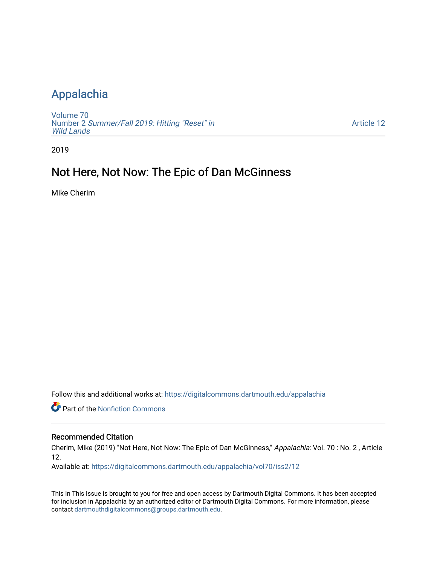## [Appalachia](https://digitalcommons.dartmouth.edu/appalachia)

[Volume 70](https://digitalcommons.dartmouth.edu/appalachia/vol70) Number 2 [Summer/Fall 2019: Hitting "Reset" in](https://digitalcommons.dartmouth.edu/appalachia/vol70/iss2) [Wild Lands](https://digitalcommons.dartmouth.edu/appalachia/vol70/iss2) 

[Article 12](https://digitalcommons.dartmouth.edu/appalachia/vol70/iss2/12) 

2019

## Not Here, Not Now: The Epic of Dan McGinness

Mike Cherim

Follow this and additional works at: [https://digitalcommons.dartmouth.edu/appalachia](https://digitalcommons.dartmouth.edu/appalachia?utm_source=digitalcommons.dartmouth.edu%2Fappalachia%2Fvol70%2Fiss2%2F12&utm_medium=PDF&utm_campaign=PDFCoverPages)

**Part of the Nonfiction Commons** 

### Recommended Citation

Cherim, Mike (2019) "Not Here, Not Now: The Epic of Dan McGinness," Appalachia: Vol. 70 : No. 2 , Article 12.

Available at: [https://digitalcommons.dartmouth.edu/appalachia/vol70/iss2/12](https://digitalcommons.dartmouth.edu/appalachia/vol70/iss2/12?utm_source=digitalcommons.dartmouth.edu%2Fappalachia%2Fvol70%2Fiss2%2F12&utm_medium=PDF&utm_campaign=PDFCoverPages) 

This In This Issue is brought to you for free and open access by Dartmouth Digital Commons. It has been accepted for inclusion in Appalachia by an authorized editor of Dartmouth Digital Commons. For more information, please contact [dartmouthdigitalcommons@groups.dartmouth.edu.](mailto:dartmouthdigitalcommons@groups.dartmouth.edu)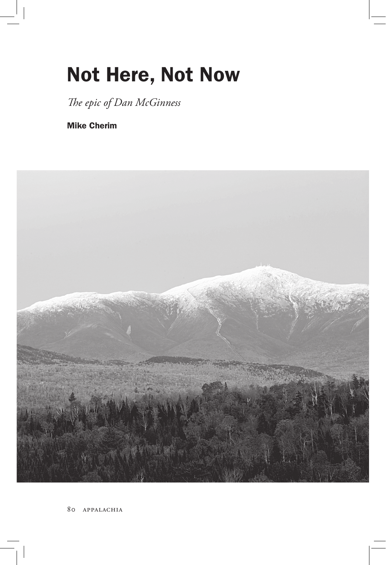# Not Here, Not Now

*The epic of Dan McGinness*

Mike Cherim

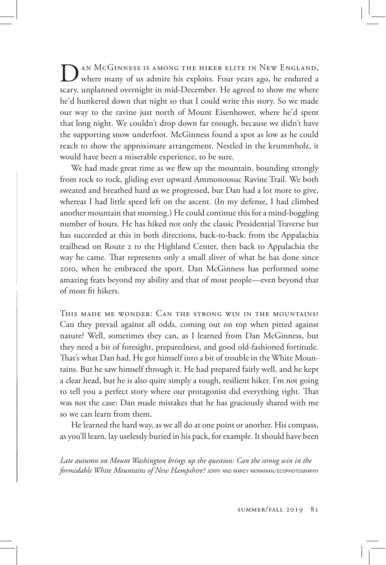DAN MCGINNESS IS AMONG THE HIKER ELITE IN NEW ENGLAND, where many of us admire his exploits. Four years ago, he endured a scary, unplanned overnight in mid-December. He agreed to show me where he'd hunkered down that night so that I could write this story. So we made our way to the ravine just north of Mount Eisenhower, where he'd spent that long night. We couldn't drop down far enough, because we didn't have the supporting snow underfoot. McGinness found a spot as low as he could reach to show the approximate arrangement. Nestled in the krummholz, it would have been a miserable experience, to be sure.

We had made great time as we flew up the mountain, bounding strongly from rock to rock, gliding ever upward Ammonoosuc Ravine Trail. We both sweated and breathed hard as we progressed, but Dan had a lot more to give, whereas I had little speed left on the ascent. (In my defense, I had climbed another mountain that morning.) He could continue this for a mind-boggling number of hours. He has hiked not only the classic Presidential Traverse but has succeeded at this in both directions, back-to-back: from the Appalachia trailhead on Route 2 to the Highland Center, then back to Appalachia the way he came. That represents only a small sliver of what he has done since 2010, when he embraced the sport. Dan McGinness has performed some amazing feats beyond my ability and that of most people—even beyond that of most fit hikers.

This made me wonder: Can the strong win in the mountains? Can they prevail against all odds, coming out on top when pitted against nature? Well, sometimes they can, as I learned from Dan McGinness, but they need a bit of foresight, preparedness, and good old-fashioned fortitude. That's what Dan had. He got himself into a bit of trouble in the White Mountains. But he saw himself through it. He had prepared fairly well, and he kept a clear head, but he is also quite simply a tough, resilient hiker. I'm not going to tell you a perfect story where our protagonist did everything right. That was not the case: Dan made mistakes that he has graciously shared with me so we can learn from them.

He learned the hard way, as we all do at one point or another. His compass, as you'll learn, lay uselessly buried in his pack, for example. It should have been

*Late autumn on Mount Washington brings up the question: Can the strong win in the formidable White Mountains of New Hampshire?* JERRY AND MARCY MONKMAN/ECOPHOTOGRAPHY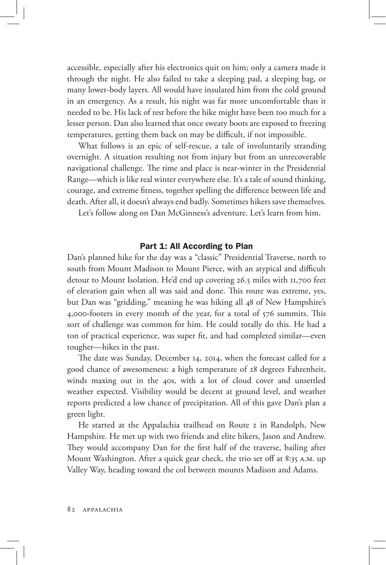accessible, especially after his electronics quit on him; only a camera made it through the night. He also failed to take a sleeping pad, a sleeping bag, or many lower-body layers. All would have insulated him from the cold ground in an emergency. As a result, his night was far more uncomfortable than it needed to be. His lack of rest before the hike might have been too much for a lesser person. Dan also learned that once sweaty boots are exposed to freezing temperatures, getting them back on may be difficult, if not impossible.

What follows is an epic of self-rescue, a tale of involuntarily stranding overnight. A situation resulting not from injury but from an unrecoverable navigational challenge. The time and place is near-winter in the Presidential Range—which is like real winter everywhere else. It's a tale of sound thinking, courage, and extreme fitness, together spelling the difference between life and death. After all, it doesn't always end badly. Sometimes hikers save themselves.

Let's follow along on Dan McGinness's adventure. Let's learn from him.

#### Part 1: All According to Plan

Dan's planned hike for the day was a "classic" Presidential Traverse, north to south from Mount Madison to Mount Pierce, with an atypical and difficult detour to Mount Isolation. He'd end up covering 26.5 miles with 11,700 feet of elevation gain when all was said and done. This route was extreme, yes, but Dan was "gridding," meaning he was hiking all 48 of New Hampshire's 4,000-footers in every month of the year, for a total of 576 summits. This sort of challenge was common for him. He could totally do this. He had a ton of practical experience, was super fit, and had completed similar—even tougher—hikes in the past.

The date was Sunday, December 14, 2014, when the forecast called for a good chance of awesomeness: a high temperature of 28 degrees Fahrenheit, winds maxing out in the 40s, with a lot of cloud cover and unsettled weather expected. Visibility would be decent at ground level, and weather reports predicted a low chance of precipitation. All of this gave Dan's plan a green light.

He started at the Appalachia trailhead on Route 2 in Randolph, New Hampshire. He met up with two friends and elite hikers, Jason and Andrew. They would accompany Dan for the first half of the traverse, bailing after Mount Washington. After a quick gear check, the trio set off at 8:35 a.m. up Valley Way, heading toward the col between mounts Madison and Adams.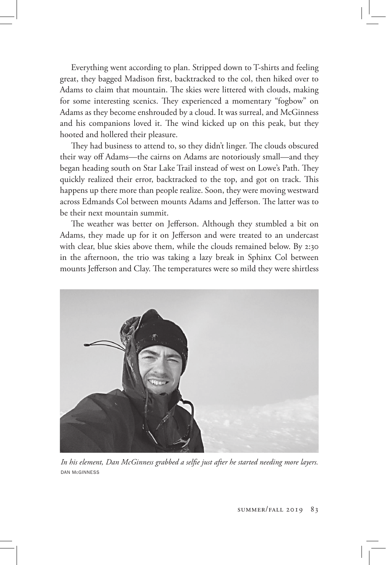Everything went according to plan. Stripped down to T-shirts and feeling great, they bagged Madison first, backtracked to the col, then hiked over to Adams to claim that mountain. The skies were littered with clouds, making for some interesting scenics. They experienced a momentary "fogbow" on Adams as they become enshrouded by a cloud. It was surreal, and McGinness and his companions loved it. The wind kicked up on this peak, but they hooted and hollered their pleasure.

They had business to attend to, so they didn't linger. The clouds obscured their way off Adams—the cairns on Adams are notoriously small—and they began heading south on Star Lake Trail instead of west on Lowe's Path. They quickly realized their error, backtracked to the top, and got on track. This happens up there more than people realize. Soon, they were moving westward across Edmands Col between mounts Adams and Jefferson. The latter was to be their next mountain summit.

The weather was better on Jefferson. Although they stumbled a bit on Adams, they made up for it on Jefferson and were treated to an undercast with clear, blue skies above them, while the clouds remained below. By 2:30 in the afternoon, the trio was taking a lazy break in Sphinx Col between mounts Jefferson and Clay. The temperatures were so mild they were shirtless



*In his element, Dan McGinness grabbed a selfie just after he started needing more layers.*  DAN McGINNESS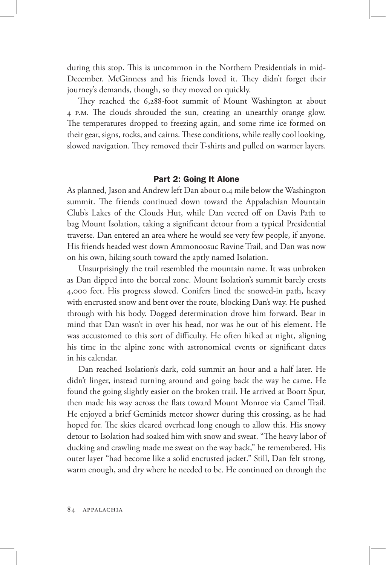during this stop. This is uncommon in the Northern Presidentials in mid-December. McGinness and his friends loved it. They didn't forget their journey's demands, though, so they moved on quickly.

They reached the 6,288-foot summit of Mount Washington at about 4 p.m. The clouds shrouded the sun, creating an unearthly orange glow. The temperatures dropped to freezing again, and some rime ice formed on their gear, signs, rocks, and cairns. These conditions, while really cool looking, slowed navigation. They removed their T-shirts and pulled on warmer layers.

#### Part 2: Going It Alone

As planned, Jason and Andrew left Dan about 0.4 mile below the Washington summit. The friends continued down toward the Appalachian Mountain Club's Lakes of the Clouds Hut, while Dan veered off on Davis Path to bag Mount Isolation, taking a significant detour from a typical Presidential traverse. Dan entered an area where he would see very few people, if anyone. His friends headed west down Ammonoosuc Ravine Trail, and Dan was now on his own, hiking south toward the aptly named Isolation.

Unsurprisingly the trail resembled the mountain name. It was unbroken as Dan dipped into the boreal zone. Mount Isolation's summit barely crests 4,000 feet. His progress slowed. Conifers lined the snowed-in path, heavy with encrusted snow and bent over the route, blocking Dan's way. He pushed through with his body. Dogged determination drove him forward. Bear in mind that Dan wasn't in over his head, nor was he out of his element. He was accustomed to this sort of difficulty. He often hiked at night, aligning his time in the alpine zone with astronomical events or significant dates in his calendar.

Dan reached Isolation's dark, cold summit an hour and a half later. He didn't linger, instead turning around and going back the way he came. He found the going slightly easier on the broken trail. He arrived at Boott Spur, then made his way across the flats toward Mount Monroe via Camel Trail. He enjoyed a brief Geminids meteor shower during this crossing, as he had hoped for. The skies cleared overhead long enough to allow this. His snowy detour to Isolation had soaked him with snow and sweat. "The heavy labor of ducking and crawling made me sweat on the way back," he remembered. His outer layer "had become like a solid encrusted jacket." Still, Dan felt strong, warm enough, and dry where he needed to be. He continued on through the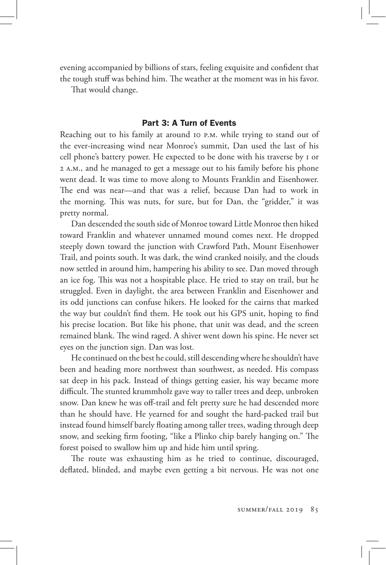evening accompanied by billions of stars, feeling exquisite and confident that the tough stuff was behind him. The weather at the moment was in his favor.

That would change.

#### Part 3: A Turn of Events

Reaching out to his family at around 10 p.m. while trying to stand out of the ever-increasing wind near Monroe's summit, Dan used the last of his cell phone's battery power. He expected to be done with his traverse by 1 or 2 a.m., and he managed to get a message out to his family before his phone went dead. It was time to move along to Mounts Franklin and Eisenhower. The end was near—and that was a relief, because Dan had to work in the morning. This was nuts, for sure, but for Dan, the "gridder," it was pretty normal.

Dan descended the south side of Monroe toward Little Monroe then hiked toward Franklin and whatever unnamed mound comes next. He dropped steeply down toward the junction with Crawford Path, Mount Eisenhower Trail, and points south. It was dark, the wind cranked noisily, and the clouds now settled in around him, hampering his ability to see. Dan moved through an ice fog. This was not a hospitable place. He tried to stay on trail, but he struggled. Even in daylight, the area between Franklin and Eisenhower and its odd junctions can confuse hikers. He looked for the cairns that marked the way but couldn't find them. He took out his GPS unit, hoping to find his precise location. But like his phone, that unit was dead, and the screen remained blank. The wind raged. A shiver went down his spine. He never set eyes on the junction sign. Dan was lost.

He continued on the best he could, still descending where he shouldn't have been and heading more northwest than southwest, as needed. His compass sat deep in his pack. Instead of things getting easier, his way became more difficult. The stunted krummholz gave way to taller trees and deep, unbroken snow. Dan knew he was off-trail and felt pretty sure he had descended more than he should have. He yearned for and sought the hard-packed trail but instead found himself barely floating among taller trees, wading through deep snow, and seeking firm footing, "like a Plinko chip barely hanging on." The forest poised to swallow him up and hide him until spring.

The route was exhausting him as he tried to continue, discouraged, deflated, blinded, and maybe even getting a bit nervous. He was not one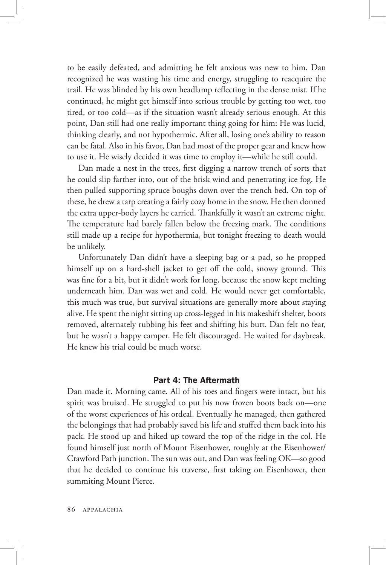to be easily defeated, and admitting he felt anxious was new to him. Dan recognized he was wasting his time and energy, struggling to reacquire the trail. He was blinded by his own headlamp reflecting in the dense mist. If he continued, he might get himself into serious trouble by getting too wet, too tired, or too cold—as if the situation wasn't already serious enough. At this point, Dan still had one really important thing going for him: He was lucid, thinking clearly, and not hypothermic. After all, losing one's ability to reason can be fatal. Also in his favor, Dan had most of the proper gear and knew how to use it. He wisely decided it was time to employ it—while he still could.

Dan made a nest in the trees, first digging a narrow trench of sorts that he could slip farther into, out of the brisk wind and penetrating ice fog. He then pulled supporting spruce boughs down over the trench bed. On top of these, he drew a tarp creating a fairly cozy home in the snow. He then donned the extra upper-body layers he carried. Thankfully it wasn't an extreme night. The temperature had barely fallen below the freezing mark. The conditions still made up a recipe for hypothermia, but tonight freezing to death would be unlikely.

Unfortunately Dan didn't have a sleeping bag or a pad, so he propped himself up on a hard-shell jacket to get off the cold, snowy ground. This was fine for a bit, but it didn't work for long, because the snow kept melting underneath him. Dan was wet and cold. He would never get comfortable, this much was true, but survival situations are generally more about staying alive. He spent the night sitting up cross-legged in his makeshift shelter, boots removed, alternately rubbing his feet and shifting his butt. Dan felt no fear, but he wasn't a happy camper. He felt discouraged. He waited for daybreak. He knew his trial could be much worse.

#### Part 4: The Aftermath

Dan made it. Morning came. All of his toes and fingers were intact, but his spirit was bruised. He struggled to put his now frozen boots back on—one of the worst experiences of his ordeal. Eventually he managed, then gathered the belongings that had probably saved his life and stuffed them back into his pack. He stood up and hiked up toward the top of the ridge in the col. He found himself just north of Mount Eisenhower, roughly at the Eisenhower/ Crawford Path junction. The sun was out, and Dan was feeling OK—so good that he decided to continue his traverse, first taking on Eisenhower, then summiting Mount Pierce.